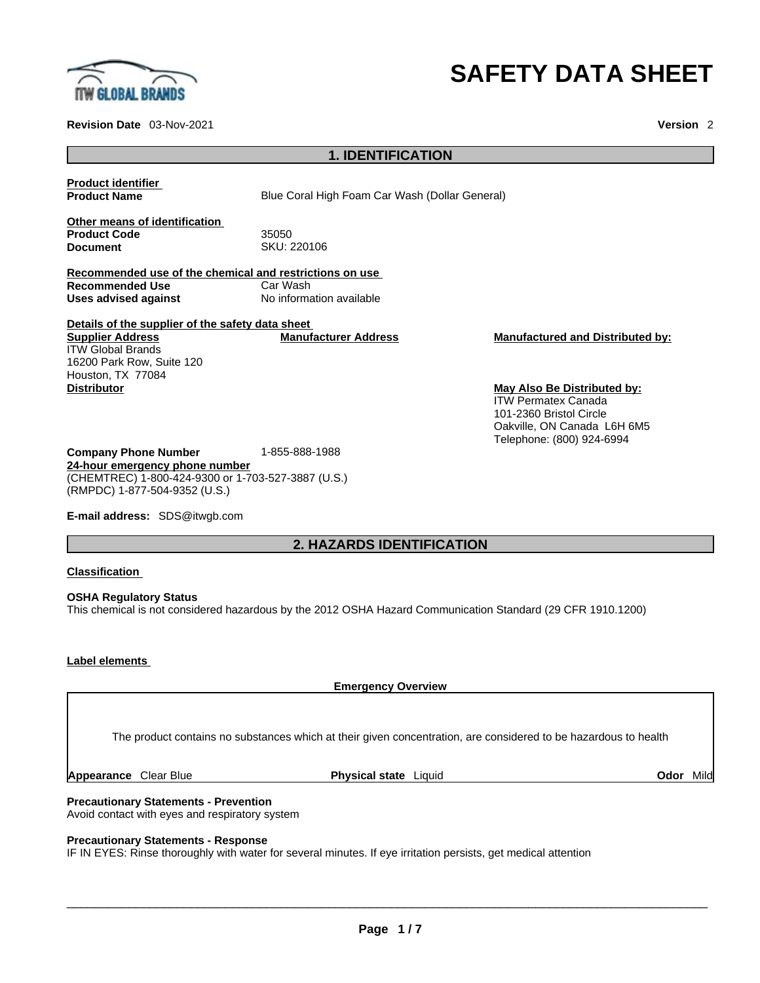

**Revision Date** 03-Nov-2021 **Version** 2

# **SAFETY DATA SHEET**

## **1. IDENTIFICATION**

**Product identifier**

**Product Name Blue Coral High Foam Car Wash (Dollar General)** 

**Other means of identification Product Code** 35050

**Document** SKU: 220106

**Recommended use of the chemical and restrictions on use Recommended Use** Car Wash **Uses advised against** No information available

**Details of the supplier of the safety data sheet Supplier Address** ITW Global Brands 16200 Park Row, Suite 120 Houston, TX 77084<br>Distributor

**Manufacturer Address Manufactured and Distributed by:**

**May Also Be Distributed by:** ITW Permatex Canada 101-2360 Bristol Circle Oakville, ON Canada L6H 6M5 Telephone: (800) 924-6994

**Company Phone Number** 1-855-888-1988 **24-hour emergency phone number** (CHEMTREC) 1-800-424-9300 or 1-703-527-3887 (U.S.) (RMPDC) 1-877-504-9352 (U.S.)

**E-mail address:** SDS@itwgb.com

# **2. HAZARDS IDENTIFICATION**

**Classification**

**OSHA Regulatory Status** This chemical is not considered hazardous by the 2012 OSHA Hazard Communication Standard (29 CFR 1910.1200)

# **Label elements**

**Emergency Overview** 

The product contains no substances which at their given concentration, are considered to be hazardous to health

**Appearance** Clear Blue **Physical state** Liquid **Odor** Mild

**Precautionary Statements - Prevention** Avoid contact with eyes and respiratory system

**Precautionary Statements - Response**

IF IN EYES: Rinse thoroughly with water for several minutes. If eye irritation persists, get medical attention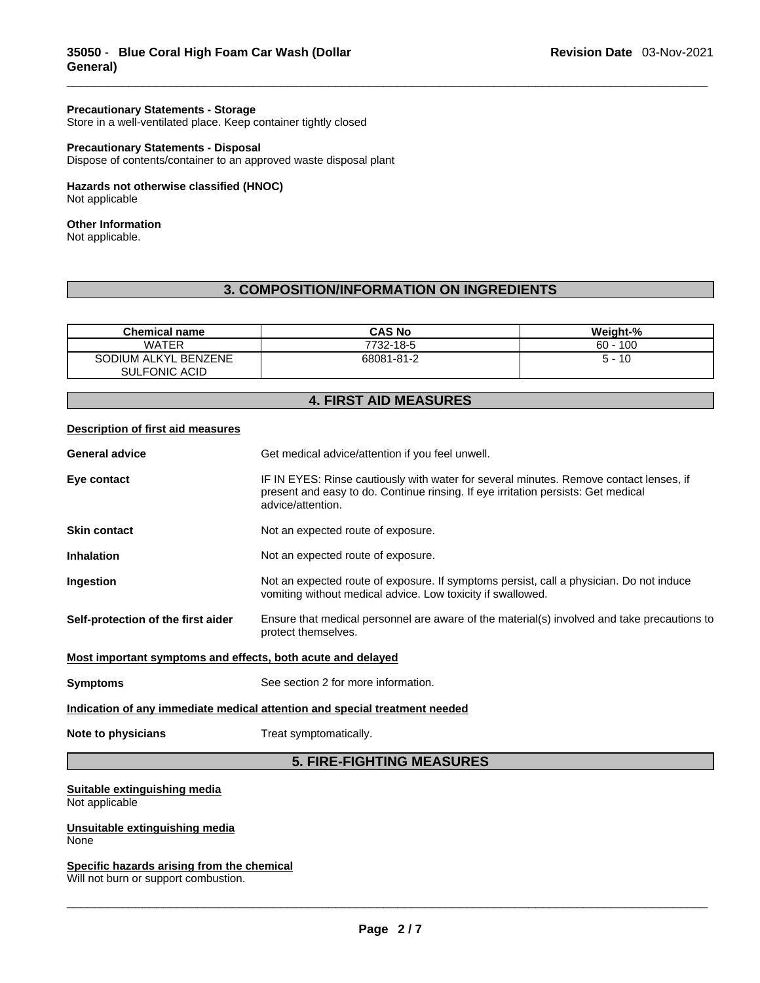## **Precautionary Statements - Storage**

Store in a well-ventilated place. Keep container tightly closed

#### **Precautionary Statements - Disposal**

Dispose of contents/container to an approved waste disposal plant

#### **Hazards not otherwise classified (HNOC)**  Not applicable

#### **Other Information**

Not applicable.

# **3. COMPOSITION/INFORMATION ON INGREDIENTS**

| <b>Chemical name</b> | <b>CAS No</b> | Weight-%   |
|----------------------|---------------|------------|
| <b>WATER</b>         | 7732-18-5     | $60 - 100$ |
| SODIUM ALKYL BENZENE | 68081-81-2    | -10<br>5 - |
| <b>SULFONIC ACID</b> |               |            |

# **4. FIRST AID MEASURES**

#### **Description of first aid measures**

| <b>General advice</b>                                                      | Get medical advice/attention if you feel unwell.                                                                                                                                                 |  |
|----------------------------------------------------------------------------|--------------------------------------------------------------------------------------------------------------------------------------------------------------------------------------------------|--|
| Eye contact                                                                | IF IN EYES: Rinse cautiously with water for several minutes. Remove contact lenses, if<br>present and easy to do. Continue rinsing. If eye irritation persists: Get medical<br>advice/attention. |  |
| <b>Skin contact</b>                                                        | Not an expected route of exposure.                                                                                                                                                               |  |
| <b>Inhalation</b>                                                          | Not an expected route of exposure.                                                                                                                                                               |  |
| Ingestion                                                                  | Not an expected route of exposure. If symptoms persist, call a physician. Do not induce<br>vomiting without medical advice. Low toxicity if swallowed.                                           |  |
| Self-protection of the first aider                                         | Ensure that medical personnel are aware of the material(s) involved and take precautions to<br>protect themselves.                                                                               |  |
| Most important symptoms and effects, both acute and delayed                |                                                                                                                                                                                                  |  |
| <b>Symptoms</b>                                                            | See section 2 for more information.                                                                                                                                                              |  |
| Indication of any immediate medical attention and special treatment needed |                                                                                                                                                                                                  |  |
| Note to physicians                                                         | Treat symptomatically.                                                                                                                                                                           |  |

# **5. FIRE-FIGHTING MEASURES**

#### **Suitable extinguishing media** Not applicable

**Unsuitable extinguishing media** None

## **Specific hazards arising from the chemical**

Will not burn or support combustion.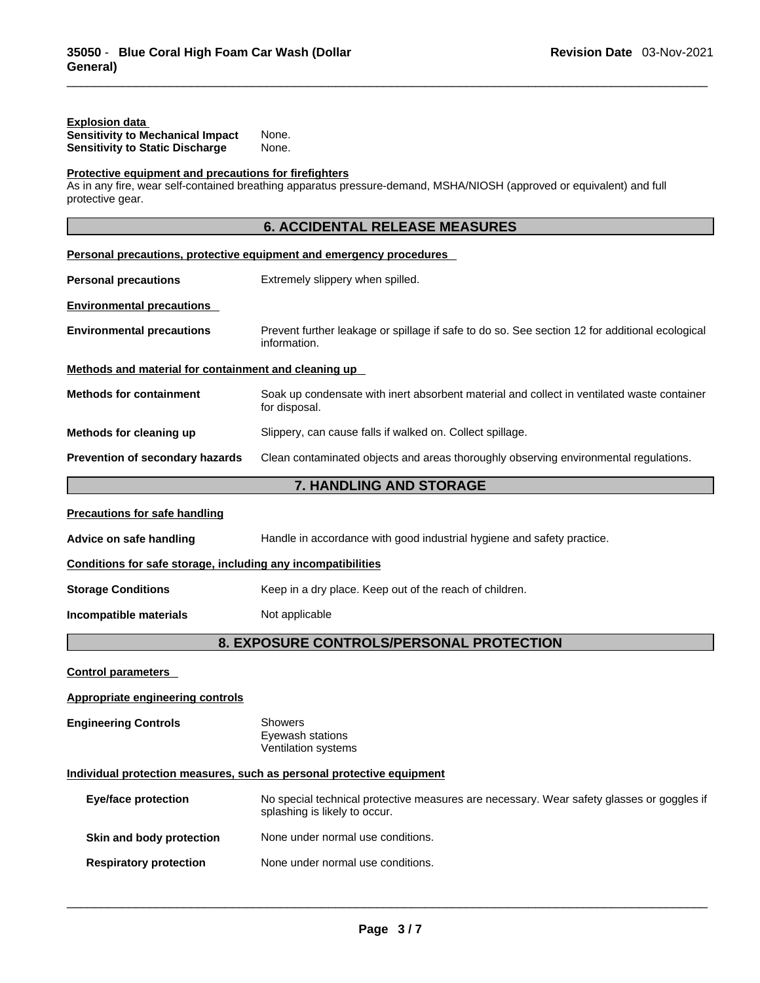| <b>Explosion data</b><br><b>Sensitivity to Mechanical Impact</b><br><b>Sensitivity to Static Discharge</b> | None.<br>None.                                                                                                             |
|------------------------------------------------------------------------------------------------------------|----------------------------------------------------------------------------------------------------------------------------|
| Protective equipment and precautions for firefighters<br>protective gear.                                  | As in any fire, wear self-contained breathing apparatus pressure-demand, MSHA/NIOSH (approved or equivalent) and full      |
|                                                                                                            | <b>6. ACCIDENTAL RELEASE MEASURES</b>                                                                                      |
|                                                                                                            | Personal precautions, protective equipment and emergency procedures                                                        |
| <b>Personal precautions</b>                                                                                | Extremely slippery when spilled.                                                                                           |
| <b>Environmental precautions</b>                                                                           |                                                                                                                            |
| <b>Environmental precautions</b>                                                                           | Prevent further leakage or spillage if safe to do so. See section 12 for additional ecological<br>information.             |
| Methods and material for containment and cleaning up                                                       |                                                                                                                            |
| <b>Methods for containment</b>                                                                             | Soak up condensate with inert absorbent material and collect in ventilated waste container<br>for disposal.                |
| Methods for cleaning up                                                                                    | Slippery, can cause falls if walked on. Collect spillage.                                                                  |
| Prevention of secondary hazards                                                                            | Clean contaminated objects and areas thoroughly observing environmental regulations.                                       |
|                                                                                                            | 7. HANDLING AND STORAGE                                                                                                    |
| <b>Precautions for safe handling</b>                                                                       |                                                                                                                            |
| Advice on safe handling                                                                                    | Handle in accordance with good industrial hygiene and safety practice.                                                     |
| Conditions for safe storage, including any incompatibilities                                               |                                                                                                                            |
| <b>Storage Conditions</b>                                                                                  | Keep in a dry place. Keep out of the reach of children.                                                                    |
| Incompatible materials                                                                                     | Not applicable                                                                                                             |
|                                                                                                            | 8. EXPOSURE CONTROLS/PERSONAL PROTECTION                                                                                   |
| <b>Control parameters</b>                                                                                  |                                                                                                                            |
| Appropriate engineering controls                                                                           |                                                                                                                            |
| <b>Engineering Controls</b>                                                                                | Showers<br>Eyewash stations<br>Ventilation systems                                                                         |
|                                                                                                            | Individual protection measures, such as personal protective equipment                                                      |
| <b>Eye/face protection</b>                                                                                 | No special technical protective measures are necessary. Wear safety glasses or goggles if<br>splashing is likely to occur. |
| Skin and body protection                                                                                   | None under normal use conditions.                                                                                          |
| <b>Respiratory protection</b>                                                                              | None under normal use conditions.                                                                                          |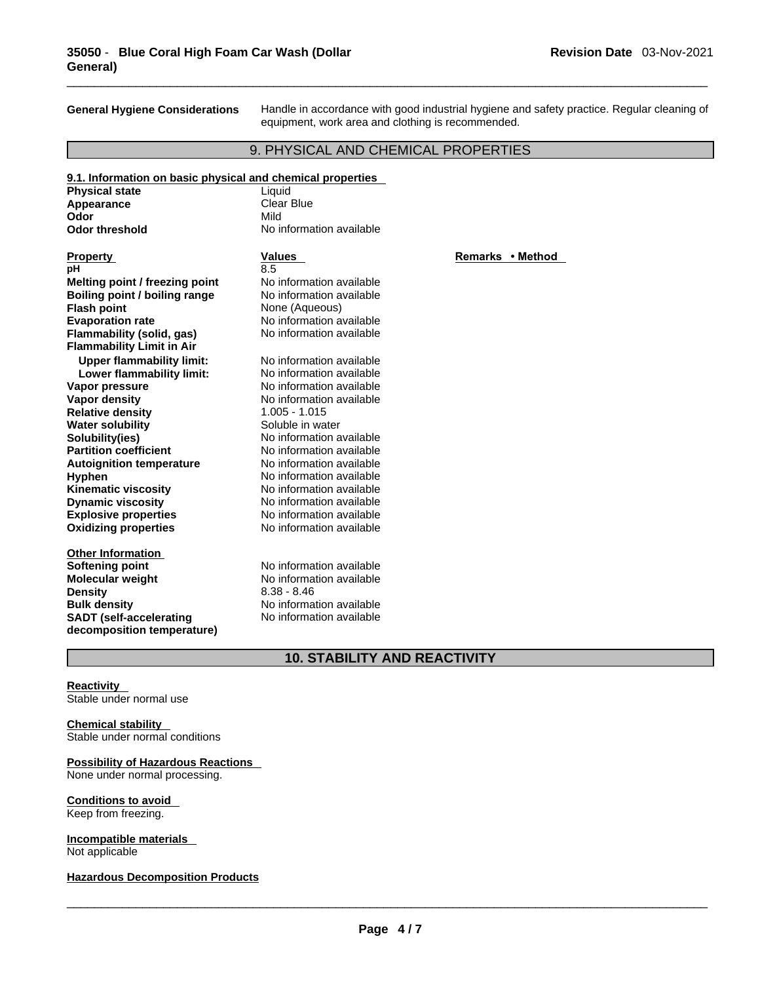**General Hygiene Considerations** Handle in accordance with good industrial hygiene and safety practice. Regular cleaning of equipment, work area and clothing is recommended.

# 9. PHYSICAL AND CHEMICAL PROPERTIES

| 9.1. Information on basic physical and chemical properties |                          |                  |
|------------------------------------------------------------|--------------------------|------------------|
| <b>Physical state</b>                                      | Liquid                   |                  |
| Appearance                                                 | <b>Clear Blue</b>        |                  |
| Odor                                                       | Mild                     |                  |
| <b>Odor threshold</b>                                      | No information available |                  |
|                                                            |                          |                  |
| <b>Property</b>                                            | Values                   | Remarks • Method |
| рH                                                         | 8.5                      |                  |
| Melting point / freezing point                             | No information available |                  |
| Boiling point / boiling range                              | No information available |                  |
| <b>Flash point</b>                                         | None (Aqueous)           |                  |
| <b>Evaporation rate</b>                                    | No information available |                  |
| Flammability (solid, gas)                                  | No information available |                  |
| <b>Flammability Limit in Air</b>                           |                          |                  |
| <b>Upper flammability limit:</b>                           | No information available |                  |
| Lower flammability limit:                                  | No information available |                  |
| Vapor pressure                                             | No information available |                  |
| Vapor density                                              | No information available |                  |
| <b>Relative density</b>                                    | $1.005 - 1.015$          |                  |
| <b>Water solubility</b>                                    | Soluble in water         |                  |
| Solubility(ies)                                            | No information available |                  |
| <b>Partition coefficient</b>                               | No information available |                  |
| <b>Autoignition temperature</b>                            | No information available |                  |
| Hyphen                                                     | No information available |                  |
| <b>Kinematic viscosity</b>                                 | No information available |                  |
| <b>Dynamic viscosity</b>                                   | No information available |                  |
| <b>Explosive properties</b>                                | No information available |                  |
| <b>Oxidizing properties</b>                                | No information available |                  |
|                                                            |                          |                  |
| <b>Other Information</b>                                   | No information available |                  |
| <b>Softening point</b>                                     |                          |                  |
| <b>Molecular weight</b>                                    | No information available |                  |
| <b>Density</b>                                             | $8.38 - 8.46$            |                  |
| <b>Bulk density</b>                                        | No information available |                  |
| <b>SADT</b> (self-accelerating                             | No information available |                  |
| decomposition temperature)                                 |                          |                  |

# **10. STABILITY AND REACTIVITY**

**Reactivity**  Stable under normal use

# **Chemical stability**

Stable under normal conditions

# **Possibility of Hazardous Reactions**

None under normal processing.

# **Conditions to avoid**

Keep from freezing.

## **Incompatible materials**  Not applicable

#### **Hazardous Decomposition Products**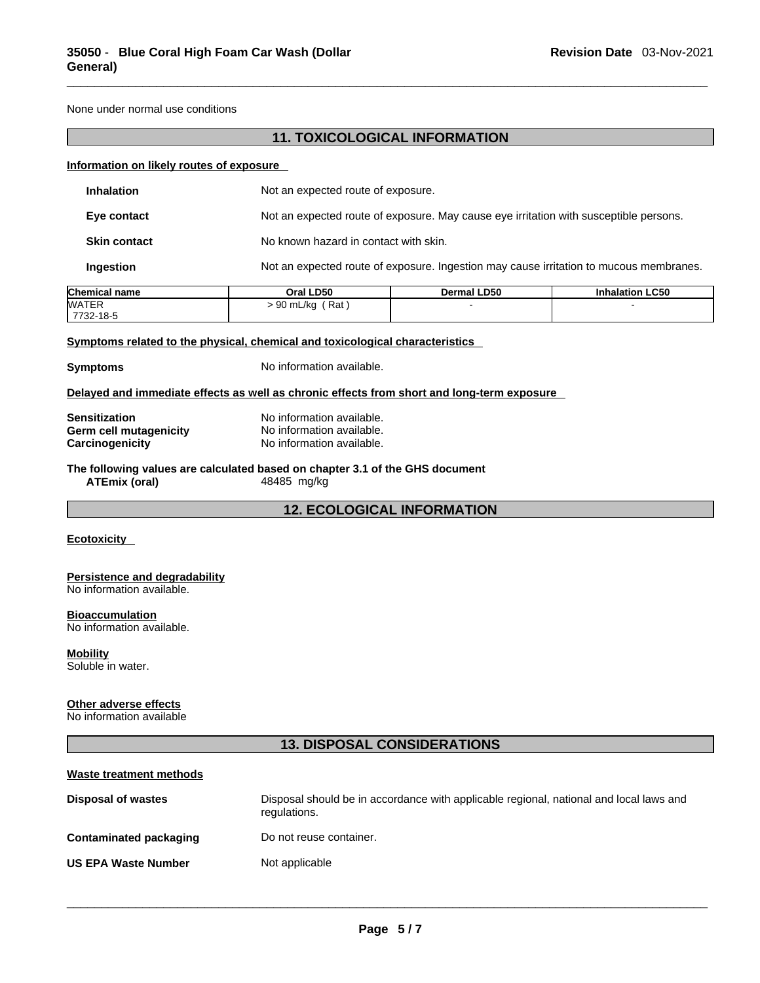None under normal use conditions

# **11. TOXICOLOGICAL INFORMATION**

#### **Information on likely routes of exposure**

| <b>Inhalation</b>   | Not an expected route of exposure.                                                     |
|---------------------|----------------------------------------------------------------------------------------|
| Eye contact         | Not an expected route of exposure. May cause eye irritation with susceptible persons.  |
| <b>Skin contact</b> | No known hazard in contact with skin.                                                  |
| Ingestion           | Not an expected route of exposure. Ingestion may cause irritation to mucous membranes. |

| <b>Chemical name</b> | Oral LD50          | <b>Dermal LD50</b> | <b>Inhalation LC50</b> |
|----------------------|--------------------|--------------------|------------------------|
| <b>WATER</b>         | ˈRat<br>. 90 mL/kg |                    |                        |
| 7732-18-5            |                    |                    |                        |

## **<u>Symptoms related to the physical, chemical and toxicological characteristics</u>**

**Symptoms** No information available.

#### **Delayed and immediate effects as well as chronic effects from short and long-term exposure**

| <b>Sensitization</b>   | No information available. |
|------------------------|---------------------------|
| Germ cell mutagenicity | No information available. |
| Carcinogenicity        | No information available. |

# **The following values are calculated based on chapter 3.1 of the GHS document**

**ATEmix (oral)** 48485 mg/kg

**12. ECOLOGICAL INFORMATION** 

## **Ecotoxicity**

#### **Persistence and degradability** No information available.

# **Bioaccumulation**

No information available.

# **Mobility**

Soluble in water.

#### **Other adverse effects**

No information available

# **13. DISPOSAL CONSIDERATIONS**

| Waste treatment methods    |                                                                                                        |
|----------------------------|--------------------------------------------------------------------------------------------------------|
| <b>Disposal of wastes</b>  | Disposal should be in accordance with applicable regional, national and local laws and<br>regulations. |
| Contaminated packaging     | Do not reuse container.                                                                                |
| <b>US EPA Waste Number</b> | Not applicable                                                                                         |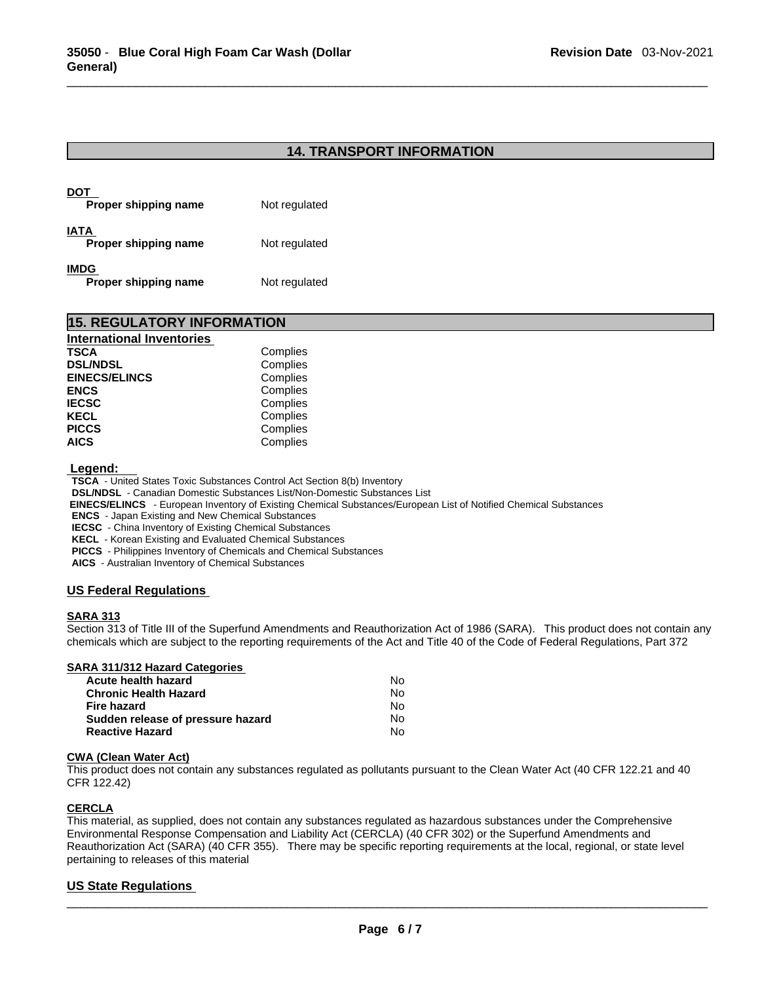# **14. TRANSPORT INFORMATION**

| Proper shipping name                | Not regulated |
|-------------------------------------|---------------|
| IATA<br>Proper shipping name        | Not regulated |
| <b>IMDG</b><br>Proper shipping name | Not regulated |

| <b>15. REGULATORY INFORMATION</b> |          |  |
|-----------------------------------|----------|--|
| <b>International Inventories</b>  |          |  |
| <b>TSCA</b>                       | Complies |  |
| <b>DSL/NDSL</b>                   | Complies |  |
| <b>EINECS/ELINCS</b>              | Complies |  |
| <b>ENCS</b>                       | Complies |  |
| <b>IECSC</b>                      | Complies |  |
| <b>KECL</b>                       | Complies |  |
| <b>PICCS</b>                      | Complies |  |
| <b>AICS</b>                       | Complies |  |

#### **Legend:**

**TSCA** - United States Toxic Substances Control Act Section 8(b) Inventory

**DSL/NDSL** - Canadian Domestic Substances List/Non-Domestic Substances List

 **EINECS/ELINCS** - European Inventory of Existing Chemical Substances/European List of Notified Chemical Substances

**ENCS** - Japan Existing and New Chemical Substances

**IECSC** - China Inventory of Existing Chemical Substances

**KECL** - Korean Existing and Evaluated Chemical Substances

**PICCS** - Philippines Inventory of Chemicals and Chemical Substances

**AICS** - Australian Inventory of Chemical Substances

# **US Federal Regulations**

#### **SARA 313**

Section 313 of Title III of the Superfund Amendments and Reauthorization Act of 1986 (SARA). This product does not contain any chemicals which are subject to the reporting requirements of the Act and Title 40 of the Code of Federal Regulations, Part 372

#### **SARA 311/312 Hazard Categories**

| Acute health hazard               | No. |  |
|-----------------------------------|-----|--|
| Chronic Health Hazard             | No. |  |
| Fire hazard                       | No. |  |
| Sudden release of pressure hazard | No. |  |
| <b>Reactive Hazard</b>            | N٥  |  |

## **CWA** (Clean Water Act)

This product does not contain any substances regulated as pollutants pursuant to the Clean Water Act (40 CFR 122.21 and 40 CFR 122.42)

#### **CERCLA**

This material, as supplied, does not contain any substances regulated as hazardous substances under the Comprehensive Environmental Response Compensation and Liability Act (CERCLA) (40 CFR 302) or the Superfund Amendments and Reauthorization Act (SARA) (40 CFR 355). There may be specific reporting requirements at the local, regional, or state level pertaining to releases of this material

# **US State Regulations**